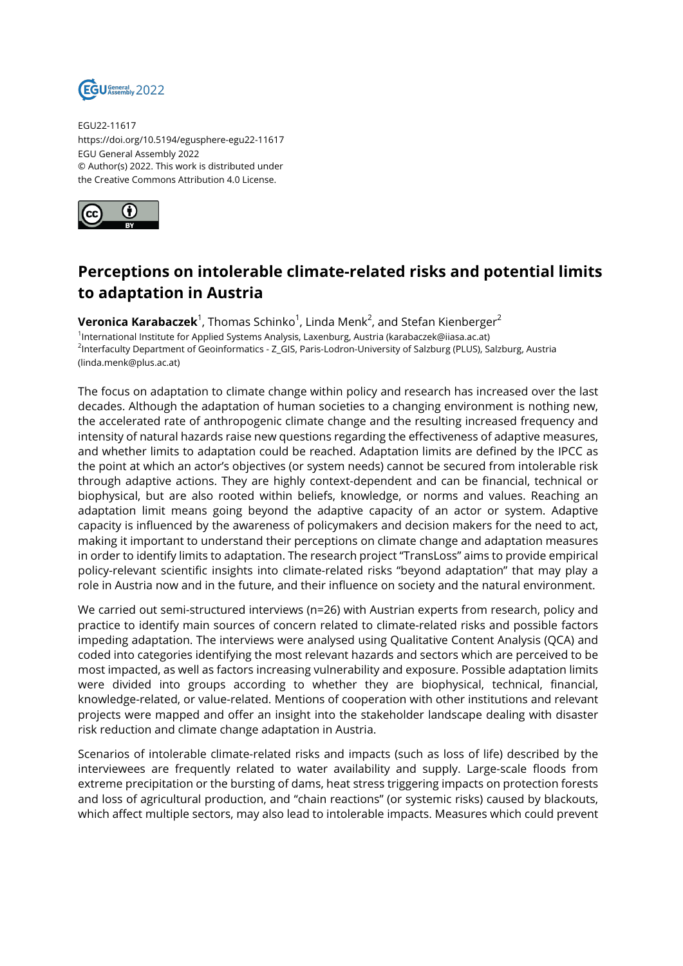

EGU22-11617 https://doi.org/10.5194/egusphere-egu22-11617 EGU General Assembly 2022 © Author(s) 2022. This work is distributed under the Creative Commons Attribution 4.0 License.



## **Perceptions on intolerable climate-related risks and potential limits to adaptation in Austria**

**Veronica Karabaczek**<sup>1</sup>, Thomas Schinko<sup>1</sup>, Linda Menk<sup>2</sup>, and Stefan Kienberger<sup>2</sup> 1 International Institute for Applied Systems Analysis, Laxenburg, Austria (karabaczek@iiasa.ac.at) <sup>2</sup>Interfaculty Department of Geoinformatics - Z\_GIS, Paris-Lodron-University of Salzburg (PLUS), Salzburg, Austria (linda.menk@plus.ac.at)

The focus on adaptation to climate change within policy and research has increased over the last decades. Although the adaptation of human societies to a changing environment is nothing new, the accelerated rate of anthropogenic climate change and the resulting increased frequency and intensity of natural hazards raise new questions regarding the effectiveness of adaptive measures, and whether limits to adaptation could be reached. Adaptation limits are defined by the IPCC as the point at which an actor's objectives (or system needs) cannot be secured from intolerable risk through adaptive actions. They are highly context-dependent and can be financial, technical or biophysical, but are also rooted within beliefs, knowledge, or norms and values. Reaching an adaptation limit means going beyond the adaptive capacity of an actor or system. Adaptive capacity is influenced by the awareness of policymakers and decision makers for the need to act, making it important to understand their perceptions on climate change and adaptation measures in order to identify limits to adaptation. The research project "TransLoss" aims to provide empirical policy-relevant scientific insights into climate-related risks "beyond adaptation" that may play a role in Austria now and in the future, and their influence on society and the natural environment.

We carried out semi-structured interviews (n=26) with Austrian experts from research, policy and practice to identify main sources of concern related to climate-related risks and possible factors impeding adaptation. The interviews were analysed using Qualitative Content Analysis (QCA) and coded into categories identifying the most relevant hazards and sectors which are perceived to be most impacted, as well as factors increasing vulnerability and exposure. Possible adaptation limits were divided into groups according to whether they are biophysical, technical, financial, knowledge-related, or value-related. Mentions of cooperation with other institutions and relevant projects were mapped and offer an insight into the stakeholder landscape dealing with disaster risk reduction and climate change adaptation in Austria.

Scenarios of intolerable climate-related risks and impacts (such as loss of life) described by the interviewees are frequently related to water availability and supply. Large-scale floods from extreme precipitation or the bursting of dams, heat stress triggering impacts on protection forests and loss of agricultural production, and "chain reactions" (or systemic risks) caused by blackouts, which affect multiple sectors, may also lead to intolerable impacts. Measures which could prevent